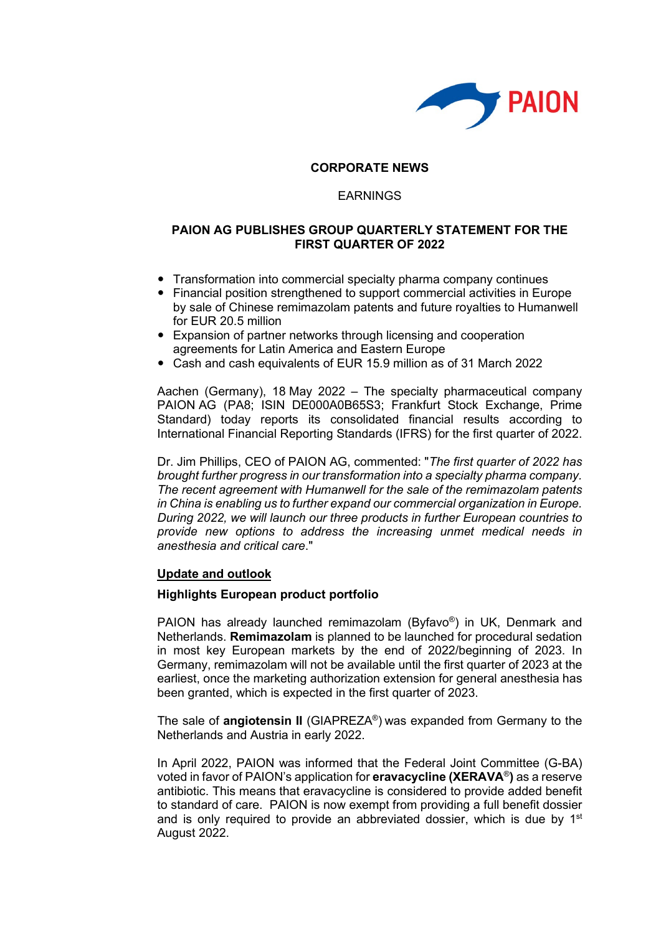

# **CORPORATE NEWS**

# EARNINGS

### **PAION AG PUBLISHES GROUP QUARTERLY STATEMENT FOR THE FIRST QUARTER OF 2022**

- Transformation into commercial specialty pharma company continues
- Financial position strengthened to support commercial activities in Europe by sale of Chinese remimazolam patents and future royalties to Humanwell for EUR 20.5 million
- Expansion of partner networks through licensing and cooperation agreements for Latin America and Eastern Europe
- Cash and cash equivalents of EUR 15.9 million as of 31 March 2022

Aachen (Germany), 18 May 2022 – The specialty pharmaceutical company PAION AG (PA8; ISIN DE000A0B65S3; Frankfurt Stock Exchange, Prime Standard) today reports its consolidated financial results according to International Financial Reporting Standards (IFRS) for the first quarter of 2022.

Dr. Jim Phillips, CEO of PAION AG, commented: "*The first quarter of 2022 has brought further progress in our transformation into a specialty pharma company. The recent agreement with Humanwell for the sale of the remimazolam patents in China is enabling us to further expand our commercial organization in Europe. During 2022, we will launch our three products in further European countries to provide new options to address the increasing unmet medical needs in anesthesia and critical care*."

#### **Update and outlook**

#### **Highlights European product portfolio**

PAION has already launched remimazolam (Byfavo®) in UK, Denmark and Netherlands. **Remimazolam** is planned to be launched for procedural sedation in most key European markets by the end of 2022/beginning of 2023. In Germany, remimazolam will not be available until the first quarter of 2023 at the earliest, once the marketing authorization extension for general anesthesia has been granted, which is expected in the first quarter of 2023.

The sale of **angiotensin II** (GIAPREZA®) was expanded from Germany to the Netherlands and Austria in early 2022.

In April 2022, PAION was informed that the Federal Joint Committee (G-BA) voted in favor of PAION's application for **eravacycline (XERAVA**®**)** as a reserve antibiotic. This means that eravacycline is considered to provide added benefit to standard of care. PAION is now exempt from providing a full benefit dossier and is only required to provide an abbreviated dossier, which is due by  $1<sup>st</sup>$ August 2022.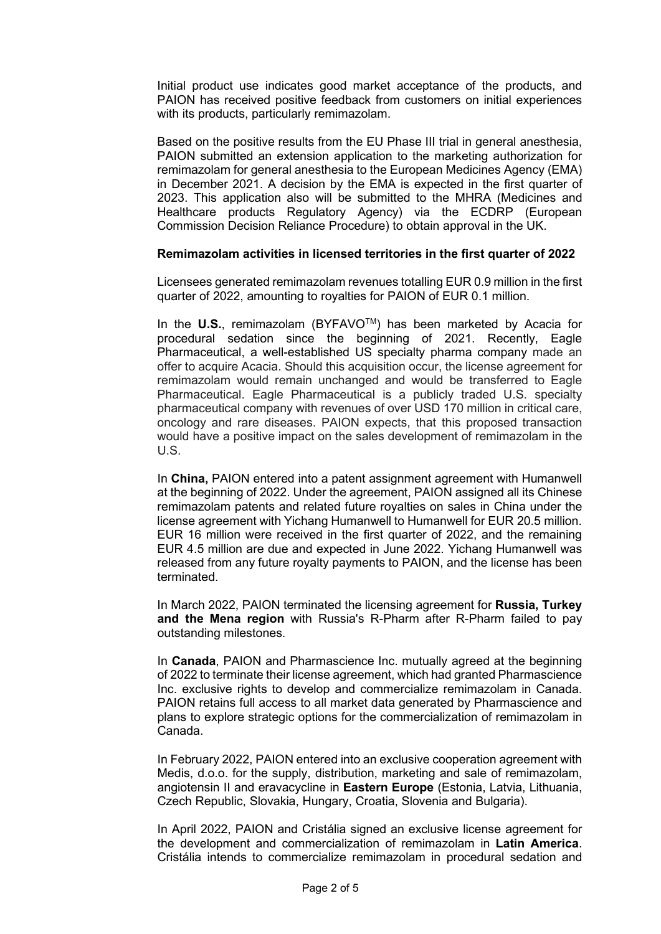Initial product use indicates good market acceptance of the products, and PAION has received positive feedback from customers on initial experiences with its products, particularly remimazolam.

Based on the positive results from the EU Phase III trial in general anesthesia, PAION submitted an extension application to the marketing authorization for remimazolam for general anesthesia to the European Medicines Agency (EMA) in December 2021. A decision by the EMA is expected in the first quarter of 2023. This application also will be submitted to the MHRA (Medicines and Healthcare products Regulatory Agency) via the ECDRP (European Commission Decision Reliance Procedure) to obtain approval in the UK.

# **Remimazolam activities in licensed territories in the first quarter of 2022**

Licensees generated remimazolam revenues totalling EUR 0.9 million in the first quarter of 2022, amounting to royalties for PAION of EUR 0.1 million.

In the **U.S.**, remimazolam (BYFAVOTM) has been marketed by Acacia for procedural sedation since the beginning of 2021. Recently, Eagle Pharmaceutical, a well-established US specialty pharma company made an offer to acquire Acacia. Should this acquisition occur, the license agreement for remimazolam would remain unchanged and would be transferred to Eagle Pharmaceutical. Eagle Pharmaceutical is a publicly traded U.S. specialty pharmaceutical company with revenues of over USD 170 million in critical care, oncology and rare diseases. PAION expects, that this proposed transaction would have a positive impact on the sales development of remimazolam in the U.S.

In **China,** PAION entered into a patent assignment agreement with Humanwell at the beginning of 2022. Under the agreement, PAION assigned all its Chinese remimazolam patents and related future royalties on sales in China under the license agreement with Yichang Humanwell to Humanwell for EUR 20.5 million. EUR 16 million were received in the first quarter of 2022, and the remaining EUR 4.5 million are due and expected in June 2022. Yichang Humanwell was released from any future royalty payments to PAION, and the license has been terminated.

In March 2022, PAION terminated the licensing agreement for **Russia, Turkey and the Mena region** with Russia's R-Pharm after R-Pharm failed to pay outstanding milestones.

In **Canada**, PAION and Pharmascience Inc. mutually agreed at the beginning of 2022 to terminate their license agreement, which had granted Pharmascience Inc. exclusive rights to develop and commercialize remimazolam in Canada. PAION retains full access to all market data generated by Pharmascience and plans to explore strategic options for the commercialization of remimazolam in Canada.

In February 2022, PAION entered into an exclusive cooperation agreement with Medis, d.o.o. for the supply, distribution, marketing and sale of remimazolam, angiotensin II and eravacycline in **Eastern Europe** (Estonia, Latvia, Lithuania, Czech Republic, Slovakia, Hungary, Croatia, Slovenia and Bulgaria).

In April 2022, PAION and Cristália signed an exclusive license agreement for the development and commercialization of remimazolam in **Latin America**. Cristália intends to commercialize remimazolam in procedural sedation and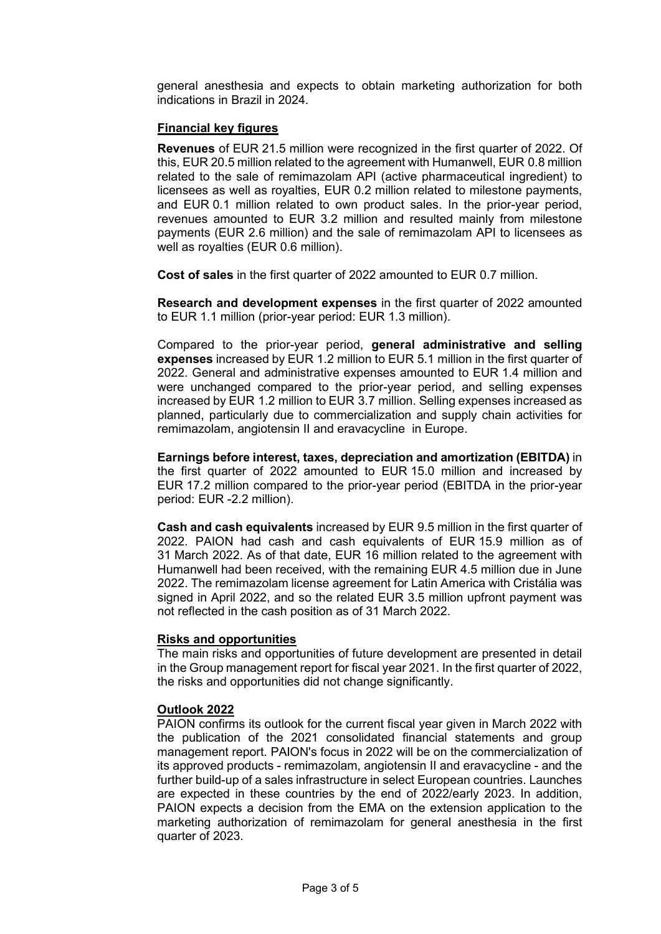general anesthesia and expects to obtain marketing authorization for both indications in Brazil in 2024.

# **Financial key figures**

**Revenues** of EUR 21.5 million were recognized in the first quarter of 2022. Of this, EUR 20.5 million related to the agreement with Humanwell, EUR 0.8 million related to the sale of remimazolam API (active pharmaceutical ingredient) to licensees as well as royalties, EUR 0.2 million related to milestone payments, and EUR 0.1 million related to own product sales. In the prior-year period, revenues amounted to EUR 3.2 million and resulted mainly from milestone payments (EUR 2.6 million) and the sale of remimazolam API to licensees as well as royalties (EUR 0.6 million).

**Cost of sales** in the first quarter of 2022 amounted to EUR 0.7 million.

**Research and development expenses** in the first quarter of 2022 amounted to EUR 1.1 million (prior-year period: EUR 1.3 million).

Compared to the prior-year period, **general administrative and selling expenses** increased by EUR 1.2 million to EUR 5.1 million in the first quarter of 2022. General and administrative expenses amounted to EUR 1.4 million and were unchanged compared to the prior-year period, and selling expenses increased by EUR 1.2 million to EUR 3.7 million. Selling expenses increased as planned, particularly due to commercialization and supply chain activities for remimazolam, angiotensin II and eravacycline in Europe.

**Earnings before interest, taxes, depreciation and amortization (EBITDA)** in the first quarter of 2022 amounted to EUR 15.0 million and increased by EUR 17.2 million compared to the prior-year period (EBITDA in the prior-year period: EUR -2.2 million).

**Cash and cash equivalents** increased by EUR 9.5 million in the first quarter of 2022. PAION had cash and cash equivalents of EUR 15.9 million as of 31 March 2022. As of that date, EUR 16 million related to the agreement with Humanwell had been received, with the remaining EUR 4.5 million due in June 2022. The remimazolam license agreement for Latin America with Cristália was signed in April 2022, and so the related EUR 3.5 million upfront payment was not reflected in the cash position as of 31 March 2022.

# **Risks and opportunities**

The main risks and opportunities of future development are presented in detail in the Group management report for fiscal year 2021. In the first quarter of 2022, the risks and opportunities did not change significantly.

# **Outlook 2022**

PAION confirms its outlook for the current fiscal year given in March 2022 with the publication of the 2021 consolidated financial statements and group management report. PAION's focus in 2022 will be on the commercialization of its approved products - remimazolam, angiotensin II and eravacycline - and the further build-up of a sales infrastructure in select European countries. Launches are expected in these countries by the end of 2022/early 2023. In addition, PAION expects a decision from the EMA on the extension application to the marketing authorization of remimazolam for general anesthesia in the first quarter of 2023.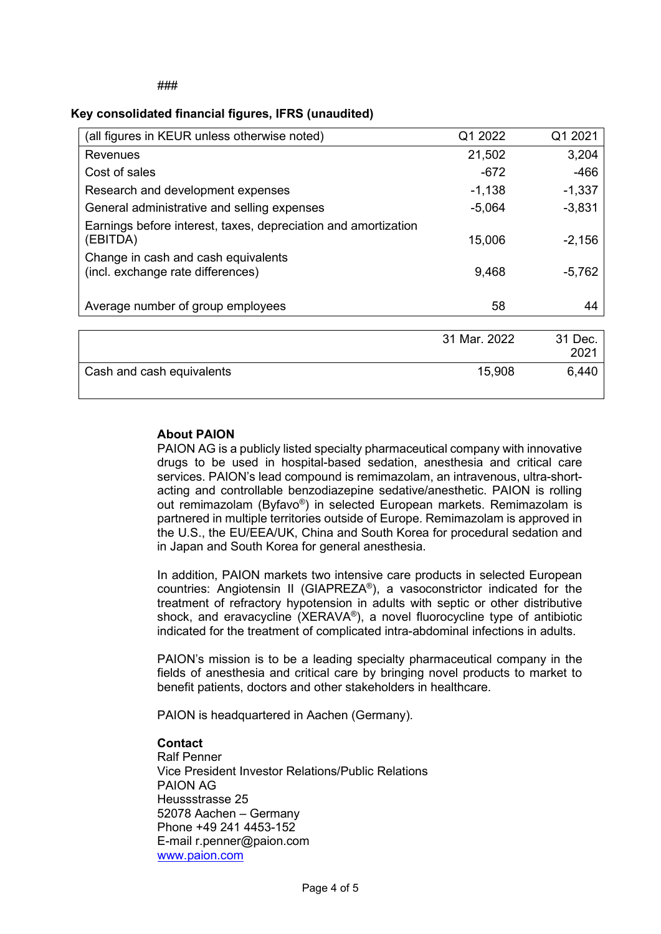### **Key consolidated financial figures, IFRS (unaudited)**

| (all figures in KEUR unless otherwise noted)                               | Q1 2022      | Q1 2021         |
|----------------------------------------------------------------------------|--------------|-----------------|
| Revenues                                                                   | 21,502       | 3,204           |
| Cost of sales                                                              | $-672$       | -466            |
| Research and development expenses                                          | $-1,138$     | $-1,337$        |
| General administrative and selling expenses                                | $-5,064$     | $-3,831$        |
| Earnings before interest, taxes, depreciation and amortization<br>(EBITDA) | 15,006       | $-2,156$        |
| Change in cash and cash equivalents<br>(incl. exchange rate differences)   | 9,468        | $-5,762$        |
| Average number of group employees                                          | 58           | 44              |
|                                                                            |              |                 |
|                                                                            | 31 Mar. 2022 | 31 Dec.<br>2021 |
| Cash and cash equivalents                                                  | 15,908       | 6,440           |

### **About PAION**

PAION AG is a publicly listed specialty pharmaceutical company with innovative drugs to be used in hospital-based sedation, anesthesia and critical care services. PAION's lead compound is remimazolam, an intravenous, ultra-shortacting and controllable benzodiazepine sedative/anesthetic. PAION is rolling out remimazolam (Byfavo®) in selected European markets. Remimazolam is partnered in multiple territories outside of Europe. Remimazolam is approved in the U.S., the EU/EEA/UK, China and South Korea for procedural sedation and in Japan and South Korea for general anesthesia.

In addition, PAION markets two intensive care products in selected European countries: Angiotensin II (GIAPREZA®), a vasoconstrictor indicated for the treatment of refractory hypotension in adults with septic or other distributive shock, and eravacycline (XERAVA®), a novel fluorocycline type of antibiotic indicated for the treatment of complicated intra-abdominal infections in adults.

PAION's mission is to be a leading specialty pharmaceutical company in the fields of anesthesia and critical care by bringing novel products to market to benefit patients, doctors and other stakeholders in healthcare.

PAION is headquartered in Aachen (Germany).

#### **Contact**

Ralf Penner Vice President Investor Relations/Public Relations PAION AG Heussstrasse 25 52078 Aachen – Germany Phone +49 241 4453-152 E-mail r.penner@paion.com www.paion.com